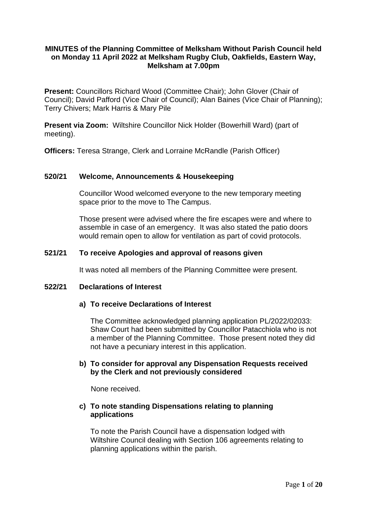# **MINUTES of the Planning Committee of Melksham Without Parish Council held on Monday 11 April 2022 at Melksham Rugby Club, Oakfields, Eastern Way, Melksham at 7.00pm**

**Present:** Councillors Richard Wood (Committee Chair); John Glover (Chair of Council); David Pafford (Vice Chair of Council); Alan Baines (Vice Chair of Planning); Terry Chivers; Mark Harris & Mary Pile

**Present via Zoom:** Wiltshire Councillor Nick Holder (Bowerhill Ward) (part of meeting).

**Officers:** Teresa Strange, Clerk and Lorraine McRandle (Parish Officer)

### **520/21 Welcome, Announcements & Housekeeping**

Councillor Wood welcomed everyone to the new temporary meeting space prior to the move to The Campus.

Those present were advised where the fire escapes were and where to assemble in case of an emergency. It was also stated the patio doors would remain open to allow for ventilation as part of covid protocols.

### **521/21 To receive Apologies and approval of reasons given**

It was noted all members of the Planning Committee were present.

#### **522/21 Declarations of Interest**

#### **a) To receive Declarations of Interest**

The Committee acknowledged planning application PL/2022/02033: Shaw Court had been submitted by Councillor Patacchiola who is not a member of the Planning Committee. Those present noted they did not have a pecuniary interest in this application.

# **b) To consider for approval any Dispensation Requests received by the Clerk and not previously considered**

None received.

### **c) To note standing Dispensations relating to planning applications**

To note the Parish Council have a dispensation lodged with Wiltshire Council dealing with Section 106 agreements relating to planning applications within the parish.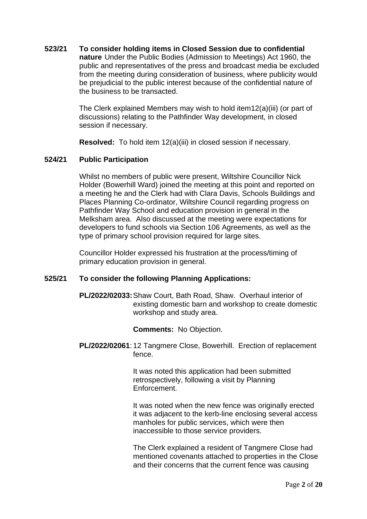# **523/21 To consider holding items in Closed Session due to confidential nature** Under the Public Bodies (Admission to Meetings) Act 1960, the public and representatives of the press and broadcast media be excluded from the meeting during consideration of business, where publicity would be prejudicial to the public interest because of the confidential nature of the business to be transacted.

The Clerk explained Members may wish to hold item12(a)(iii) (or part of discussions) relating to the Pathfinder Way development, in closed session if necessary.

**Resolved:** To hold item 12(a)(iii) in closed session if necessary.

# **524/21 Public Participation**

Whilst no members of public were present, Wiltshire Councillor Nick Holder (Bowerhill Ward) joined the meeting at this point and reported on a meeting he and the Clerk had with Clara Davis, Schools Buildings and Places Planning Co-ordinator, Wiltshire Council regarding progress on Pathfinder Way School and education provision in general in the Melksham area. Also discussed at the meeting were expectations for developers to fund schools via Section 106 Agreements, as well as the type of primary school provision required for large sites.

Councillor Holder expressed his frustration at the process/timing of primary education provision in general.

#### **525/21 To consider the following Planning Applications:**

**PL/2022/02033:**Shaw Court, Bath Road, Shaw. Overhaul interior of existing domestic barn and workshop to create domestic workshop and study area.

**Comments:** No Objection.

**PL/2022/02061**: 12 Tangmere Close, Bowerhill. Erection of replacement fence.

> It was noted this application had been submitted retrospectively, following a visit by Planning Enforcement.

It was noted when the new fence was originally erected it was adjacent to the kerb-line enclosing several access manholes for public services, which were then inaccessible to those service providers.

The Clerk explained a resident of Tangmere Close had mentioned covenants attached to properties in the Close and their concerns that the current fence was causing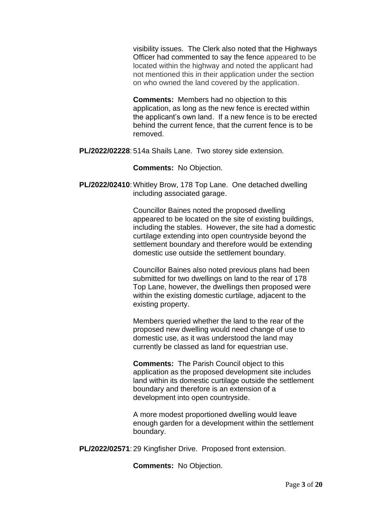visibility issues. The Clerk also noted that the Highways Officer had commented to say the fence appeared to be located within the highway and noted the applicant had not mentioned this in their application under the section on who owned the land covered by the application.

**Comments:** Members had no objection to this application, as long as the new fence is erected within the applicant's own land. If a new fence is to be erected behind the current fence, that the current fence is to be removed.

**PL/2022/02228**: 514a Shails Lane. Two storey side extension.

**Comments:** No Objection.

**PL/2022/02410**:Whitley Brow, 178 Top Lane. One detached dwelling including associated garage.

> Councillor Baines noted the proposed dwelling appeared to be located on the site of existing buildings, including the stables. However, the site had a domestic curtilage extending into open countryside beyond the settlement boundary and therefore would be extending domestic use outside the settlement boundary.

Councillor Baines also noted previous plans had been submitted for two dwellings on land to the rear of 178 Top Lane, however, the dwellings then proposed were within the existing domestic curtilage, adjacent to the existing property.

Members queried whether the land to the rear of the proposed new dwelling would need change of use to domestic use, as it was understood the land may currently be classed as land for equestrian use.

**Comments:** The Parish Council object to this application as the proposed development site includes land within its domestic curtilage outside the settlement boundary and therefore is an extension of a development into open countryside.

A more modest proportioned dwelling would leave enough garden for a development within the settlement boundary.

**PL/2022/02571**: 29 Kingfisher Drive. Proposed front extension.

**Comments:** No Objection.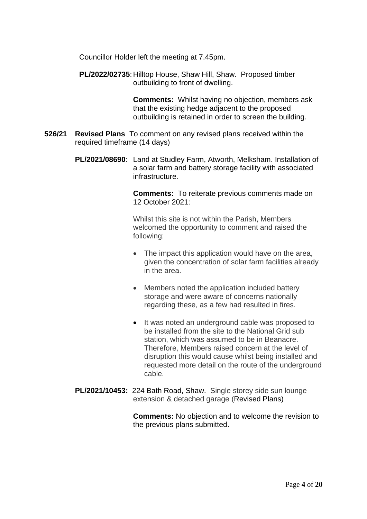Councillor Holder left the meeting at 7.45pm.

**PL/2022/02735**: Hilltop House, Shaw Hill, Shaw. Proposed timber outbuilding to front of dwelling.

> **Comments:** Whilst having no objection, members ask that the existing hedge adjacent to the proposed outbuilding is retained in order to screen the building.

- **526/21 Revised Plans** To comment on any revised plans received within the required timeframe (14 days)
	- **PL/2021/08690**: Land at Studley Farm, Atworth, Melksham. Installation of a solar farm and battery storage facility with associated infrastructure.

**Comments:** To reiterate previous comments made on 12 October 2021:

Whilst this site is not within the Parish, Members welcomed the opportunity to comment and raised the following:

- The impact this application would have on the area, given the concentration of solar farm facilities already in the area.
- Members noted the application included battery storage and were aware of concerns nationally regarding these, as a few had resulted in fires.
- It was noted an underground cable was proposed to be installed from the site to the National Grid sub station, which was assumed to be in Beanacre. Therefore, Members raised concern at the level of disruption this would cause whilst being installed and requested more detail on the route of the underground cable.
- **PL/2021/10453:** 224 Bath Road, Shaw. Single storey side sun lounge extension & detached garage (Revised Plans)

**Comments:** No objection and to welcome the revision to the previous plans submitted.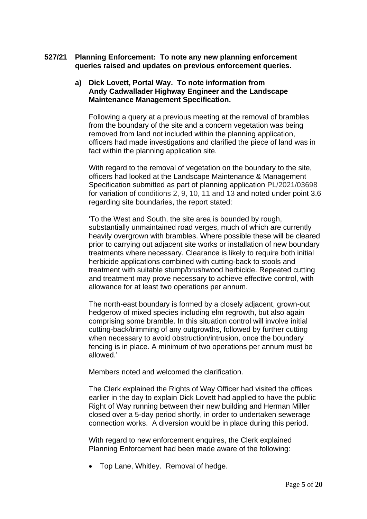**527/21 Planning Enforcement: To note any new planning enforcement queries raised and updates on previous enforcement queries.**

# **a) Dick Lovett, Portal Way. To note information from Andy Cadwallader Highway Engineer and the Landscape Maintenance Management Specification.**

Following a query at a previous meeting at the removal of brambles from the boundary of the site and a concern vegetation was being removed from land not included within the planning application, officers had made investigations and clarified the piece of land was in fact within the planning application site.

With regard to the removal of vegetation on the boundary to the site, officers had looked at the Landscape Maintenance & Management Specification submitted as part of planning application PL/2021/03698 for variation of conditions 2, 9, 10, 11 and 13 and noted under point 3.6 regarding site boundaries, the report stated:

'To the West and South, the site area is bounded by rough, substantially unmaintained road verges, much of which are currently heavily overgrown with brambles. Where possible these will be cleared prior to carrying out adjacent site works or installation of new boundary treatments where necessary. Clearance is likely to require both initial herbicide applications combined with cutting-back to stools and treatment with suitable stump/brushwood herbicide. Repeated cutting and treatment may prove necessary to achieve effective control, with allowance for at least two operations per annum.

The north-east boundary is formed by a closely adjacent, grown-out hedgerow of mixed species including elm regrowth, but also again comprising some bramble. In this situation control will involve initial cutting-back/trimming of any outgrowths, followed by further cutting when necessary to avoid obstruction/intrusion, once the boundary fencing is in place. A minimum of two operations per annum must be allowed.'

Members noted and welcomed the clarification.

The Clerk explained the Rights of Way Officer had visited the offices earlier in the day to explain Dick Lovett had applied to have the public Right of Way running between their new building and Herman Miller closed over a 5-day period shortly, in order to undertaken sewerage connection works. A diversion would be in place during this period.

With regard to new enforcement enquires, the Clerk explained Planning Enforcement had been made aware of the following:

• Top Lane, Whitley. Removal of hedge.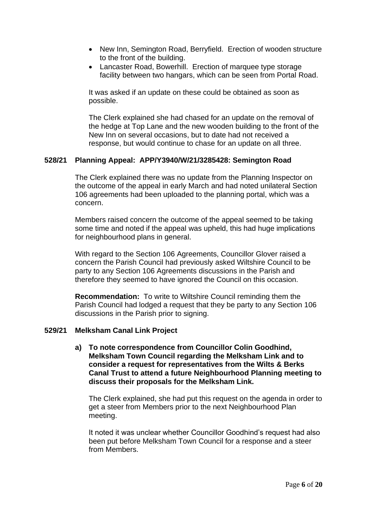- New Inn, Semington Road, Berryfield. Erection of wooden structure to the front of the building.
- Lancaster Road, Bowerhill. Erection of marquee type storage facility between two hangars, which can be seen from Portal Road.

It was asked if an update on these could be obtained as soon as possible.

The Clerk explained she had chased for an update on the removal of the hedge at Top Lane and the new wooden building to the front of the New Inn on several occasions, but to date had not received a response, but would continue to chase for an update on all three.

# **528/21 Planning Appeal: APP/Y3940/W/21/3285428: Semington Road**

The Clerk explained there was no update from the Planning Inspector on the outcome of the appeal in early March and had noted unilateral Section 106 agreements had been uploaded to the planning portal, which was a concern.

Members raised concern the outcome of the appeal seemed to be taking some time and noted if the appeal was upheld, this had huge implications for neighbourhood plans in general.

With regard to the Section 106 Agreements, Councillor Glover raised a concern the Parish Council had previously asked Wiltshire Council to be party to any Section 106 Agreements discussions in the Parish and therefore they seemed to have ignored the Council on this occasion.

**Recommendation:** To write to Wiltshire Council reminding them the Parish Council had lodged a request that they be party to any Section 106 discussions in the Parish prior to signing.

#### **529/21 Melksham Canal Link Project**

**a) To note correspondence from Councillor Colin Goodhind, Melksham Town Council regarding the Melksham Link and to consider a request for representatives from the Wilts & Berks Canal Trust to attend a future Neighbourhood Planning meeting to discuss their proposals for the Melksham Link.**

The Clerk explained, she had put this request on the agenda in order to get a steer from Members prior to the next Neighbourhood Plan meeting.

It noted it was unclear whether Councillor Goodhind's request had also been put before Melksham Town Council for a response and a steer from Members.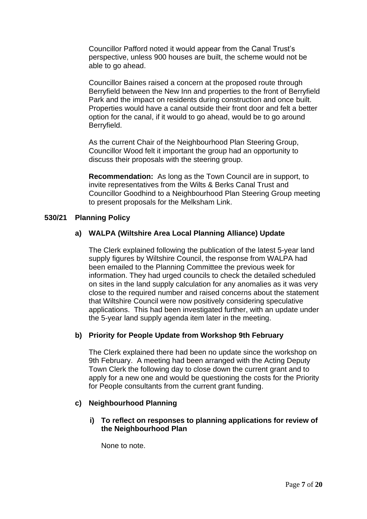Councillor Pafford noted it would appear from the Canal Trust's perspective, unless 900 houses are built, the scheme would not be able to go ahead.

Councillor Baines raised a concern at the proposed route through Berryfield between the New Inn and properties to the front of Berryfield Park and the impact on residents during construction and once built. Properties would have a canal outside their front door and felt a better option for the canal, if it would to go ahead, would be to go around Berryfield.

As the current Chair of the Neighbourhood Plan Steering Group, Councillor Wood felt it important the group had an opportunity to discuss their proposals with the steering group.

**Recommendation:** As long as the Town Council are in support, to invite representatives from the Wilts & Berks Canal Trust and Councillor Goodhind to a Neighbourhood Plan Steering Group meeting to present proposals for the Melksham Link.

### **530/21 Planning Policy**

# **a) WALPA (Wiltshire Area Local Planning Alliance) Update**

The Clerk explained following the publication of the latest 5-year land supply figures by Wiltshire Council, the response from WALPA had been emailed to the Planning Committee the previous week for information. They had urged councils to check the detailed scheduled on sites in the land supply calculation for any anomalies as it was very close to the required number and raised concerns about the statement that Wiltshire Council were now positively considering speculative applications. This had been investigated further, with an update under the 5-year land supply agenda item later in the meeting.

# **b) Priority for People Update from Workshop 9th February**

The Clerk explained there had been no update since the workshop on 9th February. A meeting had been arranged with the Acting Deputy Town Clerk the following day to close down the current grant and to apply for a new one and would be questioning the costs for the Priority for People consultants from the current grant funding.

## **c) Neighbourhood Planning**

**i) To reflect on responses to planning applications for review of the Neighbourhood Plan**

None to note.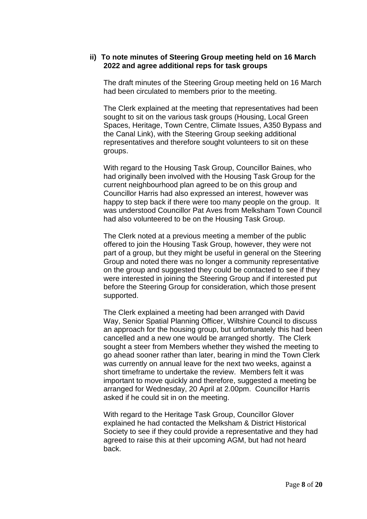### **ii) To note minutes of Steering Group meeting held on 16 March 2022 and agree additional reps for task groups**

The draft minutes of the Steering Group meeting held on 16 March had been circulated to members prior to the meeting.

The Clerk explained at the meeting that representatives had been sought to sit on the various task groups (Housing, Local Green Spaces, Heritage, Town Centre, Climate Issues, A350 Bypass and the Canal Link), with the Steering Group seeking additional representatives and therefore sought volunteers to sit on these groups.

With regard to the Housing Task Group, Councillor Baines, who had originally been involved with the Housing Task Group for the current neighbourhood plan agreed to be on this group and Councillor Harris had also expressed an interest, however was happy to step back if there were too many people on the group. It was understood Councillor Pat Aves from Melksham Town Council had also volunteered to be on the Housing Task Group.

The Clerk noted at a previous meeting a member of the public offered to join the Housing Task Group, however, they were not part of a group, but they might be useful in general on the Steering Group and noted there was no longer a community representative on the group and suggested they could be contacted to see if they were interested in joining the Steering Group and if interested put before the Steering Group for consideration, which those present supported.

The Clerk explained a meeting had been arranged with David Way, Senior Spatial Planning Officer, Wiltshire Council to discuss an approach for the housing group, but unfortunately this had been cancelled and a new one would be arranged shortly. The Clerk sought a steer from Members whether they wished the meeting to go ahead sooner rather than later, bearing in mind the Town Clerk was currently on annual leave for the next two weeks, against a short timeframe to undertake the review. Members felt it was important to move quickly and therefore, suggested a meeting be arranged for Wednesday, 20 April at 2.00pm. Councillor Harris asked if he could sit in on the meeting.

With regard to the Heritage Task Group, Councillor Glover explained he had contacted the Melksham & District Historical Society to see if they could provide a representative and they had agreed to raise this at their upcoming AGM, but had not heard back.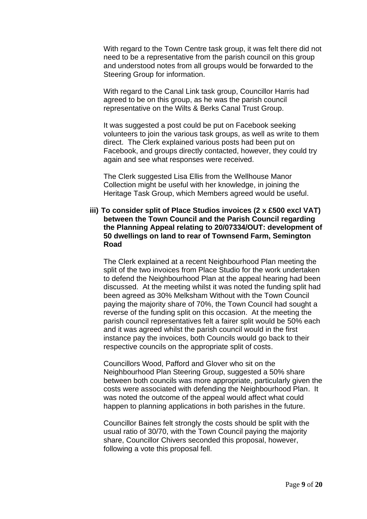With regard to the Town Centre task group, it was felt there did not need to be a representative from the parish council on this group and understood notes from all groups would be forwarded to the Steering Group for information.

With regard to the Canal Link task group, Councillor Harris had agreed to be on this group, as he was the parish council representative on the Wilts & Berks Canal Trust Group.

It was suggested a post could be put on Facebook seeking volunteers to join the various task groups, as well as write to them direct. The Clerk explained various posts had been put on Facebook, and groups directly contacted, however, they could try again and see what responses were received.

The Clerk suggested Lisa Ellis from the Wellhouse Manor Collection might be useful with her knowledge, in joining the Heritage Task Group, which Members agreed would be useful.

### **iii) To consider split of Place Studios invoices (2 x £500 excl VAT) between the Town Council and the Parish Council regarding the Planning Appeal relating to 20/07334/OUT: development of 50 dwellings on land to rear of Townsend Farm, Semington Road**

The Clerk explained at a recent Neighbourhood Plan meeting the split of the two invoices from Place Studio for the work undertaken to defend the Neighbourhood Plan at the appeal hearing had been discussed. At the meeting whilst it was noted the funding split had been agreed as 30% Melksham Without with the Town Council paying the majority share of 70%, the Town Council had sought a reverse of the funding split on this occasion. At the meeting the parish council representatives felt a fairer split would be 50% each and it was agreed whilst the parish council would in the first instance pay the invoices, both Councils would go back to their respective councils on the appropriate split of costs.

Councillors Wood, Pafford and Glover who sit on the Neighbourhood Plan Steering Group, suggested a 50% share between both councils was more appropriate, particularly given the costs were associated with defending the Neighbourhood Plan. It was noted the outcome of the appeal would affect what could happen to planning applications in both parishes in the future.

Councillor Baines felt strongly the costs should be split with the usual ratio of 30/70, with the Town Council paying the majority share, Councillor Chivers seconded this proposal, however, following a vote this proposal fell.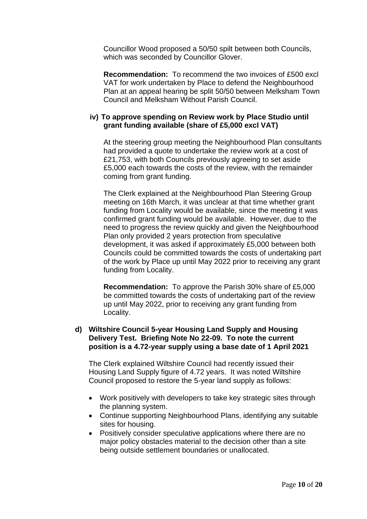Councillor Wood proposed a 50/50 spilt between both Councils, which was seconded by Councillor Glover.

**Recommendation:** To recommend the two invoices of £500 excl VAT for work undertaken by Place to defend the Neighbourhood Plan at an appeal hearing be split 50/50 between Melksham Town Council and Melksham Without Parish Council.

### **iv) To approve spending on Review work by Place Studio until grant funding available (share of £5,000 excl VAT)**

At the steering group meeting the Neighbourhood Plan consultants had provided a quote to undertake the review work at a cost of £21,753, with both Councils previously agreeing to set aside £5,000 each towards the costs of the review, with the remainder coming from grant funding.

The Clerk explained at the Neighbourhood Plan Steering Group meeting on 16th March, it was unclear at that time whether grant funding from Locality would be available, since the meeting it was confirmed grant funding would be available. However, due to the need to progress the review quickly and given the Neighbourhood Plan only provided 2 years protection from speculative development, it was asked if approximately £5,000 between both Councils could be committed towards the costs of undertaking part of the work by Place up until May 2022 prior to receiving any grant funding from Locality.

**Recommendation:** To approve the Parish 30% share of £5,000 be committed towards the costs of undertaking part of the review up until May 2022, prior to receiving any grant funding from Locality.

### **d) Wiltshire Council 5-year Housing Land Supply and Housing Delivery Test. Briefing Note No 22-09. To note the current position is a 4.72-year supply using a base date of 1 April 2021**

The Clerk explained Wiltshire Council had recently issued their Housing Land Supply figure of 4.72 years. It was noted Wiltshire Council proposed to restore the 5-year land supply as follows:

- Work positively with developers to take key strategic sites through the planning system.
- Continue supporting Neighbourhood Plans, identifying any suitable sites for housing.
- Positively consider speculative applications where there are no major policy obstacles material to the decision other than a site being outside settlement boundaries or unallocated.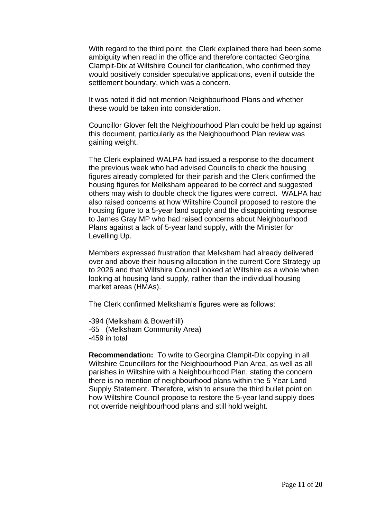With regard to the third point, the Clerk explained there had been some ambiguity when read in the office and therefore contacted Georgina Clampit-Dix at Wiltshire Council for clarification, who confirmed they would positively consider speculative applications, even if outside the settlement boundary, which was a concern.

It was noted it did not mention Neighbourhood Plans and whether these would be taken into consideration.

Councillor Glover felt the Neighbourhood Plan could be held up against this document, particularly as the Neighbourhood Plan review was gaining weight.

The Clerk explained WALPA had issued a response to the document the previous week who had advised Councils to check the housing figures already completed for their parish and the Clerk confirmed the housing figures for Melksham appeared to be correct and suggested others may wish to double check the figures were correct. WALPA had also raised concerns at how Wiltshire Council proposed to restore the housing figure to a 5-year land supply and the disappointing response to James Gray MP who had raised concerns about Neighbourhood Plans against a lack of 5-year land supply, with the Minister for Levelling Up.

Members expressed frustration that Melksham had already delivered over and above their housing allocation in the current Core Strategy up to 2026 and that Wiltshire Council looked at Wiltshire as a whole when looking at housing land supply, rather than the individual housing market areas (HMAs).

The Clerk confirmed Melksham's figures were as follows:

-394 (Melksham & Bowerhill) -65 (Melksham Community Area) -459 in total

**Recommendation:** To write to Georgina Clampit-Dix copying in all Wiltshire Councillors for the Neighbourhood Plan Area, as well as all parishes in Wiltshire with a Neighbourhood Plan, stating the concern there is no mention of neighbourhood plans within the 5 Year Land Supply Statement. Therefore, wish to ensure the third bullet point on how Wiltshire Council propose to restore the 5-year land supply does not override neighbourhood plans and still hold weight.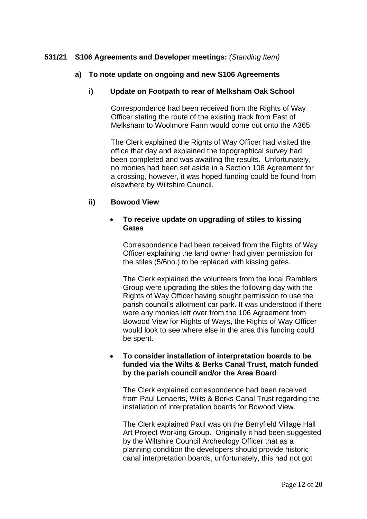# **531/21 S106 Agreements and Developer meetings:** *(Standing Item)*

# **a) To note update on ongoing and new S106 Agreements**

## **i) Update on Footpath to rear of Melksham Oak School**

Correspondence had been received from the Rights of Way Officer stating the route of the existing track from East of Melksham to Woolmore Farm would come out onto the A365.

The Clerk explained the Rights of Way Officer had visited the office that day and explained the topographical survey had been completed and was awaiting the results. Unfortunately, no monies had been set aside in a Section 106 Agreement for a crossing, however, it was hoped funding could be found from elsewhere by Wiltshire Council.

### **ii) Bowood View**

## • **To receive update on upgrading of stiles to kissing Gates**

Correspondence had been received from the Rights of Way Officer explaining the land owner had given permission for the stiles (5/6no.) to be replaced with kissing gates.

The Clerk explained the volunteers from the local Ramblers Group were upgrading the stiles the following day with the Rights of Way Officer having sought permission to use the parish council's allotment car park. It was understood if there were any monies left over from the 106 Agreement from Bowood View for Rights of Ways, the Rights of Way Officer would look to see where else in the area this funding could be spent.

## • **To consider installation of interpretation boards to be funded via the Wilts & Berks Canal Trust, match funded by the parish council and/or the Area Board**

The Clerk explained correspondence had been received from Paul Lenaerts, Wilts & Berks Canal Trust regarding the installation of interpretation boards for Bowood View.

The Clerk explained Paul was on the Berryfield Village Hall Art Project Working Group. Originally it had been suggested by the Wiltshire Council Archeology Officer that as a planning condition the developers should provide historic canal interpretation boards, unfortunately, this had not got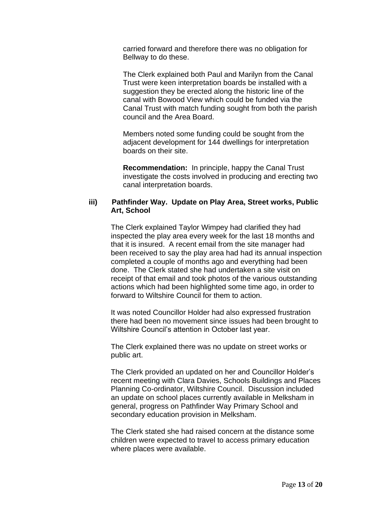carried forward and therefore there was no obligation for Bellway to do these.

The Clerk explained both Paul and Marilyn from the Canal Trust were keen interpretation boards be installed with a suggestion they be erected along the historic line of the canal with Bowood View which could be funded via the Canal Trust with match funding sought from both the parish council and the Area Board.

Members noted some funding could be sought from the adjacent development for 144 dwellings for interpretation boards on their site.

**Recommendation:** In principle, happy the Canal Trust investigate the costs involved in producing and erecting two canal interpretation boards.

## **iii) Pathfinder Way. Update on Play Area, Street works, Public Art, School**

The Clerk explained Taylor Wimpey had clarified they had inspected the play area every week for the last 18 months and that it is insured. A recent email from the site manager had been received to say the play area had had its annual inspection completed a couple of months ago and everything had been done. The Clerk stated she had undertaken a site visit on receipt of that email and took photos of the various outstanding actions which had been highlighted some time ago, in order to forward to Wiltshire Council for them to action.

It was noted Councillor Holder had also expressed frustration there had been no movement since issues had been brought to Wiltshire Council's attention in October last year.

The Clerk explained there was no update on street works or public art.

The Clerk provided an updated on her and Councillor Holder's recent meeting with Clara Davies, Schools Buildings and Places Planning Co-ordinator, Wiltshire Council. Discussion included an update on school places currently available in Melksham in general, progress on Pathfinder Way Primary School and secondary education provision in Melksham.

The Clerk stated she had raised concern at the distance some children were expected to travel to access primary education where places were available.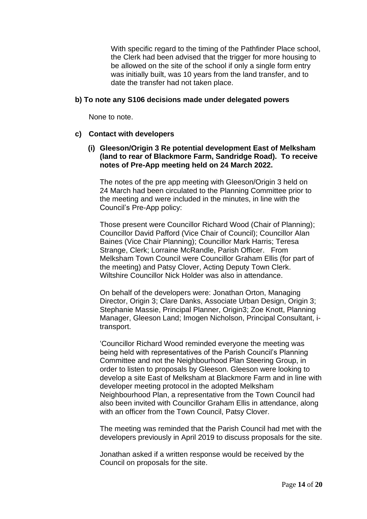With specific regard to the timing of the Pathfinder Place school, the Clerk had been advised that the trigger for more housing to be allowed on the site of the school if only a single form entry was initially built, was 10 years from the land transfer, and to date the transfer had not taken place.

## **b) To note any S106 decisions made under delegated powers**

None to note.

# **c) Contact with developers**

# **(i) Gleeson/Origin 3 Re potential development East of Melksham (land to rear of Blackmore Farm, Sandridge Road). To receive notes of Pre-App meeting held on 24 March 2022.**

The notes of the pre app meeting with Gleeson/Origin 3 held on 24 March had been circulated to the Planning Committee prior to the meeting and were included in the minutes, in line with the Council's Pre-App policy:

Those present were Councillor Richard Wood (Chair of Planning); Councillor David Pafford (Vice Chair of Council); Councillor Alan Baines (Vice Chair Planning); Councillor Mark Harris; Teresa Strange, Clerk; Lorraine McRandle, Parish Officer. From Melksham Town Council were Councillor Graham Ellis (for part of the meeting) and Patsy Clover, Acting Deputy Town Clerk. Wiltshire Councillor Nick Holder was also in attendance.

On behalf of the developers were: Jonathan Orton, Managing Director, Origin 3; Clare Danks, Associate Urban Design, Origin 3; Stephanie Massie, Principal Planner, Origin3; Zoe Knott, Planning Manager, Gleeson Land; Imogen Nicholson, Principal Consultant, itransport.

'Councillor Richard Wood reminded everyone the meeting was being held with representatives of the Parish Council's Planning Committee and not the Neighbourhood Plan Steering Group, in order to listen to proposals by Gleeson. Gleeson were looking to develop a site East of Melksham at Blackmore Farm and in line with developer meeting protocol in the adopted Melksham Neighbourhood Plan, a representative from the Town Council had also been invited with Councillor Graham Ellis in attendance, along with an officer from the Town Council, Patsy Clover.

The meeting was reminded that the Parish Council had met with the developers previously in April 2019 to discuss proposals for the site.

Jonathan asked if a written response would be received by the Council on proposals for the site.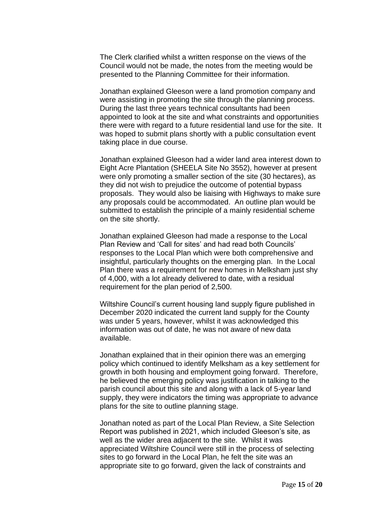The Clerk clarified whilst a written response on the views of the Council would not be made, the notes from the meeting would be presented to the Planning Committee for their information.

Jonathan explained Gleeson were a land promotion company and were assisting in promoting the site through the planning process. During the last three years technical consultants had been appointed to look at the site and what constraints and opportunities there were with regard to a future residential land use for the site. It was hoped to submit plans shortly with a public consultation event taking place in due course.

Jonathan explained Gleeson had a wider land area interest down to Eight Acre Plantation (SHEELA Site No 3552), however at present were only promoting a smaller section of the site (30 hectares), as they did not wish to prejudice the outcome of potential bypass proposals. They would also be liaising with Highways to make sure any proposals could be accommodated. An outline plan would be submitted to establish the principle of a mainly residential scheme on the site shortly.

Jonathan explained Gleeson had made a response to the Local Plan Review and 'Call for sites' and had read both Councils' responses to the Local Plan which were both comprehensive and insightful, particularly thoughts on the emerging plan. In the Local Plan there was a requirement for new homes in Melksham just shy of 4,000, with a lot already delivered to date, with a residual requirement for the plan period of 2,500.

Wiltshire Council's current housing land supply figure published in December 2020 indicated the current land supply for the County was under 5 years, however, whilst it was acknowledged this information was out of date, he was not aware of new data available.

Jonathan explained that in their opinion there was an emerging policy which continued to identify Melksham as a key settlement for growth in both housing and employment going forward. Therefore, he believed the emerging policy was justification in talking to the parish council about this site and along with a lack of 5-year land supply, they were indicators the timing was appropriate to advance plans for the site to outline planning stage.

Jonathan noted as part of the Local Plan Review, a Site Selection Report was published in 2021, which included Gleeson's site, as well as the wider area adjacent to the site. Whilst it was appreciated Wiltshire Council were still in the process of selecting sites to go forward in the Local Plan, he felt the site was an appropriate site to go forward, given the lack of constraints and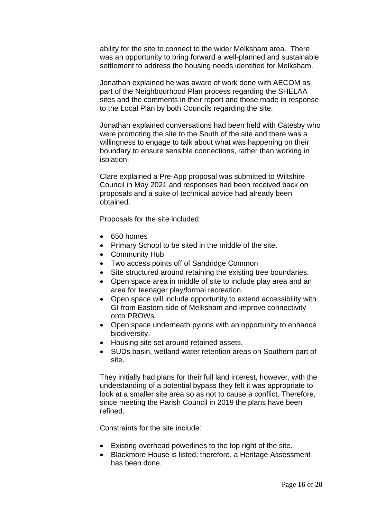ability for the site to connect to the wider Melksham area. There was an opportunity to bring forward a well-planned and sustainable settlement to address the housing needs identified for Melksham.

Jonathan explained he was aware of work done with AECOM as part of the Neighbourhood Plan process regarding the SHELAA sites and the comments in their report and those made in response to the Local Plan by both Councils regarding the site.

Jonathan explained conversations had been held with Catesby who were promoting the site to the South of the site and there was a willingness to engage to talk about what was happening on their boundary to ensure sensible connections, rather than working in isolation.

Clare explained a Pre-App proposal was submitted to Wiltshire Council in May 2021 and responses had been received back on proposals and a suite of technical advice had already been obtained.

Proposals for the site included:

- 650 homes
- Primary School to be sited in the middle of the site.
- Community Hub
- Two access points off of Sandridge Common
- Site structured around retaining the existing tree boundaries.
- Open space area in middle of site to include play area and an area for teenager play/formal recreation.
- Open space will include opportunity to extend accessibility with GI from Eastern side of Melksham and improve connectivity onto PROWs.
- Open space underneath pylons with an opportunity to enhance biodiversity.
- Housing site set around retained assets.
- SUDs basin, wetland water retention areas on Southern part of site.

They initially had plans for their full land interest, however, with the understanding of a potential bypass they felt it was appropriate to look at a smaller site area so as not to cause a conflict. Therefore, since meeting the Parish Council in 2019 the plans have been refined.

Constraints for the site include:

- Existing overhead powerlines to the top right of the site.
- Blackmore House is listed; therefore, a Heritage Assessment has been done.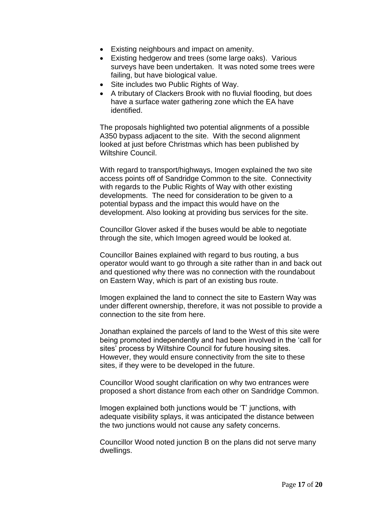- Existing neighbours and impact on amenity.
- Existing hedgerow and trees (some large oaks). Various surveys have been undertaken. It was noted some trees were failing, but have biological value.
- Site includes two Public Rights of Way.
- A tributary of Clackers Brook with no fluvial flooding, but does have a surface water gathering zone which the EA have identified.

The proposals highlighted two potential alignments of a possible A350 bypass adjacent to the site. With the second alignment looked at just before Christmas which has been published by Wiltshire Council.

With regard to transport/highways, Imogen explained the two site access points off of Sandridge Common to the site. Connectivity with regards to the Public Rights of Way with other existing developments. The need for consideration to be given to a potential bypass and the impact this would have on the development. Also looking at providing bus services for the site.

Councillor Glover asked if the buses would be able to negotiate through the site, which Imogen agreed would be looked at.

Councillor Baines explained with regard to bus routing, a bus operator would want to go through a site rather than in and back out and questioned why there was no connection with the roundabout on Eastern Way, which is part of an existing bus route.

Imogen explained the land to connect the site to Eastern Way was under different ownership, therefore, it was not possible to provide a connection to the site from here.

Jonathan explained the parcels of land to the West of this site were being promoted independently and had been involved in the 'call for sites' process by Wiltshire Council for future housing sites. However, they would ensure connectivity from the site to these sites, if they were to be developed in the future.

Councillor Wood sought clarification on why two entrances were proposed a short distance from each other on Sandridge Common.

Imogen explained both junctions would be 'T' junctions, with adequate visibility splays, it was anticipated the distance between the two junctions would not cause any safety concerns.

Councillor Wood noted junction B on the plans did not serve many dwellings.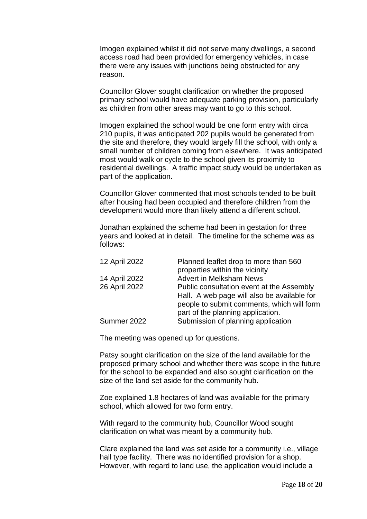Imogen explained whilst it did not serve many dwellings, a second access road had been provided for emergency vehicles, in case there were any issues with junctions being obstructed for any reason.

Councillor Glover sought clarification on whether the proposed primary school would have adequate parking provision, particularly as children from other areas may want to go to this school.

Imogen explained the school would be one form entry with circa 210 pupils, it was anticipated 202 pupils would be generated from the site and therefore, they would largely fill the school, with only a small number of children coming from elsewhere. It was anticipated most would walk or cycle to the school given its proximity to residential dwellings. A traffic impact study would be undertaken as part of the application.

Councillor Glover commented that most schools tended to be built after housing had been occupied and therefore children from the development would more than likely attend a different school.

Jonathan explained the scheme had been in gestation for three years and looked at in detail. The timeline for the scheme was as follows:

| 12 April 2022 | Planned leaflet drop to more than 560       |
|---------------|---------------------------------------------|
|               | properties within the vicinity              |
| 14 April 2022 | <b>Advert in Melksham News</b>              |
| 26 April 2022 | Public consultation event at the Assembly   |
|               | Hall. A web page will also be available for |
|               | people to submit comments, which will form  |
|               | part of the planning application.           |
| Summer 2022   | Submission of planning application          |
|               |                                             |

The meeting was opened up for questions.

Patsy sought clarification on the size of the land available for the proposed primary school and whether there was scope in the future for the school to be expanded and also sought clarification on the size of the land set aside for the community hub.

Zoe explained 1.8 hectares of land was available for the primary school, which allowed for two form entry.

With regard to the community hub, Councillor Wood sought clarification on what was meant by a community hub.

Clare explained the land was set aside for a community i.e., village hall type facility. There was no identified provision for a shop. However, with regard to land use, the application would include a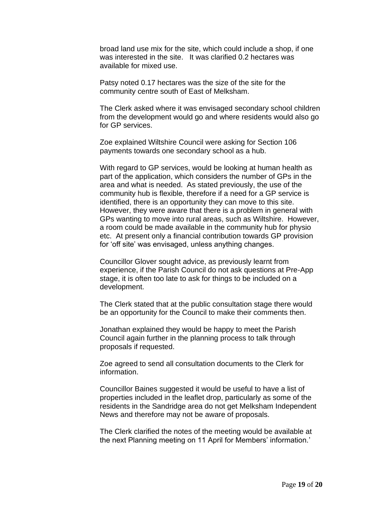broad land use mix for the site, which could include a shop, if one was interested in the site. It was clarified 0.2 hectares was available for mixed use.

Patsy noted 0.17 hectares was the size of the site for the community centre south of East of Melksham.

The Clerk asked where it was envisaged secondary school children from the development would go and where residents would also go for GP services.

Zoe explained Wiltshire Council were asking for Section 106 payments towards one secondary school as a hub.

With regard to GP services, would be looking at human health as part of the application, which considers the number of GPs in the area and what is needed. As stated previously, the use of the community hub is flexible, therefore if a need for a GP service is identified, there is an opportunity they can move to this site. However, they were aware that there is a problem in general with GPs wanting to move into rural areas, such as Wiltshire. However, a room could be made available in the community hub for physio etc. At present only a financial contribution towards GP provision for 'off site' was envisaged, unless anything changes.

Councillor Glover sought advice, as previously learnt from experience, if the Parish Council do not ask questions at Pre-App stage, it is often too late to ask for things to be included on a development.

The Clerk stated that at the public consultation stage there would be an opportunity for the Council to make their comments then.

Jonathan explained they would be happy to meet the Parish Council again further in the planning process to talk through proposals if requested.

Zoe agreed to send all consultation documents to the Clerk for information.

Councillor Baines suggested it would be useful to have a list of properties included in the leaflet drop, particularly as some of the residents in the Sandridge area do not get Melksham Independent News and therefore may not be aware of proposals.

The Clerk clarified the notes of the meeting would be available at the next Planning meeting on 11 April for Members' information.'